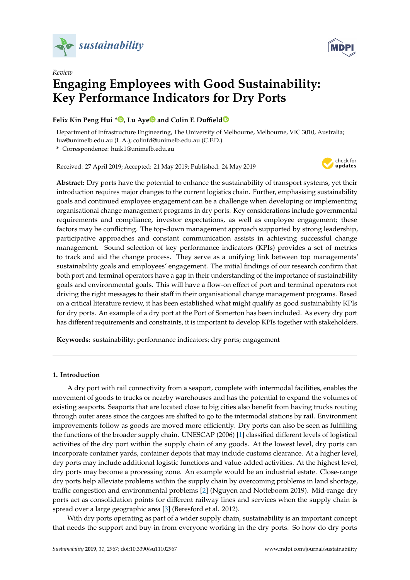

*Review*



# **Engaging Employees with Good Sustainability: Key Performance Indicators for Dry Ports**

## **Felix Kin Peng Hui \* [,](https://orcid.org/0000-0002-4800-9130) Lu Ay[e](https://orcid.org/0000-0002-5495-1683) and Colin F. Du**ffi**el[d](https://orcid.org/0000-0001-6497-7759)**

Department of Infrastructure Engineering, The University of Melbourne, Melbourne, VIC 3010, Australia; lua@unimelb.edu.au (L.A.); colinfd@unimelb.edu.au (C.F.D.)

**\*** Correspondence: huik1@unimelb.edu.au

Received: 27 April 2019; Accepted: 21 May 2019; Published: 24 May 2019



**Abstract:** Dry ports have the potential to enhance the sustainability of transport systems, yet their introduction requires major changes to the current logistics chain. Further, emphasising sustainability goals and continued employee engagement can be a challenge when developing or implementing organisational change management programs in dry ports. Key considerations include governmental requirements and compliance, investor expectations, as well as employee engagement; these factors may be conflicting. The top-down management approach supported by strong leadership, participative approaches and constant communication assists in achieving successful change management. Sound selection of key performance indicators (KPIs) provides a set of metrics to track and aid the change process. They serve as a unifying link between top managements' sustainability goals and employees' engagement. The initial findings of our research confirm that both port and terminal operators have a gap in their understanding of the importance of sustainability goals and environmental goals. This will have a flow-on effect of port and terminal operators not driving the right messages to their staff in their organisational change management programs. Based on a critical literature review, it has been established what might qualify as good sustainability KPIs for dry ports. An example of a dry port at the Port of Somerton has been included. As every dry port has different requirements and constraints, it is important to develop KPIs together with stakeholders.

**Keywords:** sustainability; performance indicators; dry ports; engagement

## **1. Introduction**

A dry port with rail connectivity from a seaport, complete with intermodal facilities, enables the movement of goods to trucks or nearby warehouses and has the potential to expand the volumes of existing seaports. Seaports that are located close to big cities also benefit from having trucks routing through outer areas since the cargoes are shifted to go to the intermodal stations by rail. Environment improvements follow as goods are moved more efficiently. Dry ports can also be seen as fulfilling the functions of the broader supply chain. UNESCAP (2006) [\[1\]](#page-8-0) classified different levels of logistical activities of the dry port within the supply chain of any goods. At the lowest level, dry ports can incorporate container yards, container depots that may include customs clearance. At a higher level, dry ports may include additional logistic functions and value-added activities. At the highest level, dry ports may become a processing zone. An example would be an industrial estate. Close-range dry ports help alleviate problems within the supply chain by overcoming problems in land shortage, traffic congestion and environmental problems [\[2\]](#page-8-1) (Nguyen and Notteboom 2019). Mid-range dry ports act as consolidation points for different railway lines and services when the supply chain is spread over a large geographic area [\[3\]](#page-8-2) (Beresford et al. 2012).

With dry ports operating as part of a wider supply chain, sustainability is an important concept that needs the support and buy-in from everyone working in the dry ports. So how do dry ports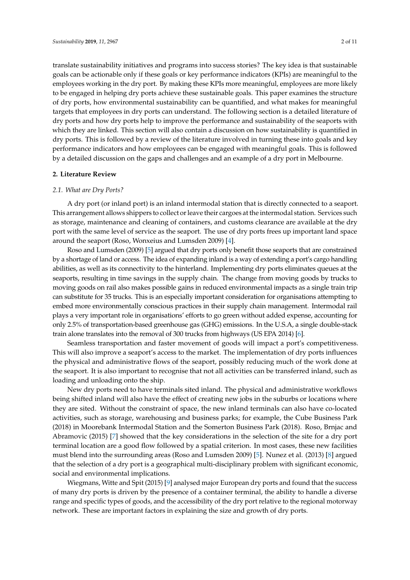translate sustainability initiatives and programs into success stories? The key idea is that sustainable goals can be actionable only if these goals or key performance indicators (KPIs) are meaningful to the employees working in the dry port. By making these KPIs more meaningful, employees are more likely to be engaged in helping dry ports achieve these sustainable goals. This paper examines the structure of dry ports, how environmental sustainability can be quantified, and what makes for meaningful targets that employees in dry ports can understand. The following section is a detailed literature of dry ports and how dry ports help to improve the performance and sustainability of the seaports with which they are linked. This section will also contain a discussion on how sustainability is quantified in dry ports. This is followed by a review of the literature involved in turning these into goals and key performance indicators and how employees can be engaged with meaningful goals. This is followed by a detailed discussion on the gaps and challenges and an example of a dry port in Melbourne.

## **2. Literature Review**

## *2.1. What are Dry Ports?*

A dry port (or inland port) is an inland intermodal station that is directly connected to a seaport. This arrangement allows shippers to collect or leave their cargoes at the intermodal station. Services such as storage, maintenance and cleaning of containers, and customs clearance are available at the dry port with the same level of service as the seaport. The use of dry ports frees up important land space around the seaport (Roso, Wonxeius and Lumsden 2009) [\[4\]](#page-8-3).

Roso and Lumsden (2009) [\[5\]](#page-8-4) argued that dry ports only benefit those seaports that are constrained by a shortage of land or access. The idea of expanding inland is a way of extending a port's cargo handling abilities, as well as its connectivity to the hinterland. Implementing dry ports eliminates queues at the seaports, resulting in time savings in the supply chain. The change from moving goods by trucks to moving goods on rail also makes possible gains in reduced environmental impacts as a single train trip can substitute for 35 trucks. This is an especially important consideration for organisations attempting to embed more environmentally conscious practices in their supply chain management. Intermodal rail plays a very important role in organisations' efforts to go green without added expense, accounting for only 2.5% of transportation-based greenhouse gas (GHG) emissions. In the U.S.A, a single double-stack train alone translates into the removal of 300 trucks from highways (US EPA 2014) [\[6\]](#page-8-5).

Seamless transportation and faster movement of goods will impact a port's competitiveness. This will also improve a seaport's access to the market. The implementation of dry ports influences the physical and administrative flows of the seaport, possibly reducing much of the work done at the seaport. It is also important to recognise that not all activities can be transferred inland, such as loading and unloading onto the ship.

New dry ports need to have terminals sited inland. The physical and administrative workflows being shifted inland will also have the effect of creating new jobs in the suburbs or locations where they are sited. Without the constraint of space, the new inland terminals can also have co-located activities, such as storage, warehousing and business parks; for example, the Cube Business Park (2018) in Moorebank Intermodal Station and the Somerton Business Park (2018). Roso, Brnjac and Abramovic (2015) [\[7\]](#page-8-6) showed that the key considerations in the selection of the site for a dry port terminal location are a good flow followed by a spatial criterion. In most cases, these new facilities must blend into the surrounding areas (Roso and Lumsden 2009) [\[5\]](#page-8-4). Nunez et al. (2013) [\[8\]](#page-8-7) argued that the selection of a dry port is a geographical multi-disciplinary problem with significant economic, social and environmental implications.

Wiegmans, Witte and Spit (2015) [\[9\]](#page-8-8) analysed major European dry ports and found that the success of many dry ports is driven by the presence of a container terminal, the ability to handle a diverse range and specific types of goods, and the accessibility of the dry port relative to the regional motorway network. These are important factors in explaining the size and growth of dry ports.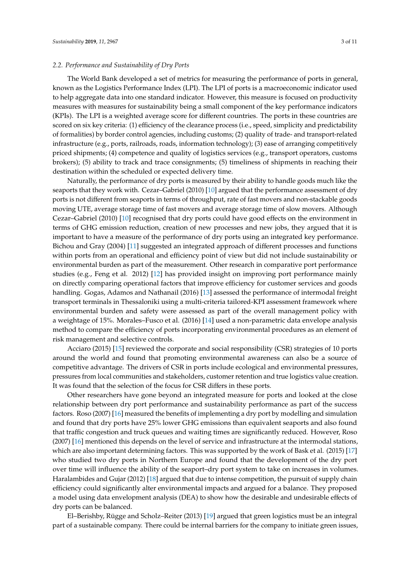#### *2.2. Performance and Sustainability of Dry Ports*

The World Bank developed a set of metrics for measuring the performance of ports in general, known as the Logistics Performance Index (LPI). The LPI of ports is a macroeconomic indicator used to help aggregate data into one standard indicator. However, this measure is focused on productivity measures with measures for sustainability being a small component of the key performance indicators (KPIs). The LPI is a weighted average score for different countries. The ports in these countries are scored on six key criteria: (1) efficiency of the clearance process (i.e., speed, simplicity and predictability of formalities) by border control agencies, including customs; (2) quality of trade- and transport-related infrastructure (e.g., ports, railroads, roads, information technology); (3) ease of arranging competitively priced shipments; (4) competence and quality of logistics services (e.g., transport operators, customs brokers); (5) ability to track and trace consignments; (5) timeliness of shipments in reaching their destination within the scheduled or expected delivery time.

Naturally, the performance of dry ports is measured by their ability to handle goods much like the seaports that they work with. Cezar–Gabriel (2010) [\[10\]](#page-8-9) argued that the performance assessment of dry ports is not different from seaports in terms of throughput, rate of fast movers and non-stackable goods moving UTE, average storage time of fast movers and average storage time of slow movers. Although Cezar–Gabriel (2010) [\[10\]](#page-8-9) recognised that dry ports could have good effects on the environment in terms of GHG emission reduction, creation of new processes and new jobs, they argued that it is important to have a measure of the performance of dry ports using an integrated key performance. Bichou and Gray (2004) [\[11\]](#page-8-10) suggested an integrated approach of different processes and functions within ports from an operational and efficiency point of view but did not include sustainability or environmental burden as part of the measurement. Other research in comparative port performance studies (e.g., Feng et al. 2012) [\[12\]](#page-9-0) has provided insight on improving port performance mainly on directly comparing operational factors that improve efficiency for customer services and goods handling. Gogas, Adamos and Nathanail (2016) [\[13\]](#page-9-1) assessed the performance of intermodal freight transport terminals in Thessaloniki using a multi-criteria tailored-KPI assessment framework where environmental burden and safety were assessed as part of the overall management policy with a weightage of 15%. Morales–Fusco et al. (2016) [\[14\]](#page-9-2) used a non-parametric data envelope analysis method to compare the efficiency of ports incorporating environmental procedures as an element of risk management and selective controls.

Acciaro (2015) [\[15\]](#page-9-3) reviewed the corporate and social responsibility (CSR) strategies of 10 ports around the world and found that promoting environmental awareness can also be a source of competitive advantage. The drivers of CSR in ports include ecological and environmental pressures, pressures from local communities and stakeholders, customer retention and true logistics value creation. It was found that the selection of the focus for CSR differs in these ports.

Other researchers have gone beyond an integrated measure for ports and looked at the close relationship between dry port performance and sustainability performance as part of the success factors. Roso (2007) [\[16\]](#page-9-4) measured the benefits of implementing a dry port by modelling and simulation and found that dry ports have 25% lower GHG emissions than equivalent seaports and also found that traffic congestion and truck queues and waiting times are significantly reduced. However, Roso (2007) [\[16\]](#page-9-4) mentioned this depends on the level of service and infrastructure at the intermodal stations, which are also important determining factors. This was supported by the work of Bask et al. (2015) [\[17\]](#page-9-5) who studied two dry ports in Northern Europe and found that the development of the dry port over time will influence the ability of the seaport–dry port system to take on increases in volumes. Haralambides and Gujar (2012) [\[18\]](#page-9-6) argued that due to intense competition, the pursuit of supply chain efficiency could significantly alter environmental impacts and argued for a balance. They proposed a model using data envelopment analysis (DEA) to show how the desirable and undesirable effects of dry ports can be balanced.

El–Berishby, Rügge and Scholz–Reiter (2013) [\[19\]](#page-9-7) argued that green logistics must be an integral part of a sustainable company. There could be internal barriers for the company to initiate green issues,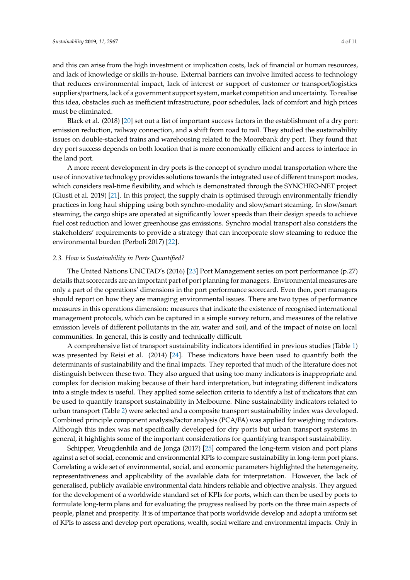and this can arise from the high investment or implication costs, lack of financial or human resources, and lack of knowledge or skills in-house. External barriers can involve limited access to technology that reduces environmental impact, lack of interest or support of customer or transport/logistics suppliers/partners, lack of a government support system, market competition and uncertainty. To realise this idea, obstacles such as inefficient infrastructure, poor schedules, lack of comfort and high prices must be eliminated.

Black et al. (2018) [\[20\]](#page-9-8) set out a list of important success factors in the establishment of a dry port: emission reduction, railway connection, and a shift from road to rail. They studied the sustainability issues on double-stacked trains and warehousing related to the Moorebank dry port. They found that dry port success depends on both location that is more economically efficient and access to interface in the land port.

A more recent development in dry ports is the concept of synchro modal transportation where the use of innovative technology provides solutions towards the integrated use of different transport modes, which considers real-time flexibility, and which is demonstrated through the SYNCHRO-NET project (Giusti et al. 2019) [\[21\]](#page-9-9). In this project, the supply chain is optimised through environmentally friendly practices in long haul shipping using both synchro-modality and slow/smart steaming. In slow/smart steaming, the cargo ships are operated at significantly lower speeds than their design speeds to achieve fuel cost reduction and lower greenhouse gas emissions. Synchro modal transport also considers the stakeholders' requirements to provide a strategy that can incorporate slow steaming to reduce the environmental burden (Perboli 2017) [\[22\]](#page-9-10).

## *2.3. How is Sustainability in Ports Quantified?*

The United Nations UNCTAD's (2016) [\[23\]](#page-9-11) Port Management series on port performance (p.27) details that scorecards are an important part of port planning for managers. Environmental measures are only a part of the operations' dimensions in the port performance scorecard. Even then, port managers should report on how they are managing environmental issues. There are two types of performance measures in this operations dimension: measures that indicate the existence of recognised international management protocols, which can be captured in a simple survey return, and measures of the relative emission levels of different pollutants in the air, water and soil, and of the impact of noise on local communities. In general, this is costly and technically difficult.

A comprehensive list of transport sustainability indicators identified in previous studies (Table [1\)](#page-4-0) was presented by Reisi et al. (2014) [\[24\]](#page-9-12). These indicators have been used to quantify both the determinants of sustainability and the final impacts. They reported that much of the literature does not distinguish between these two. They also argued that using too many indicators is inappropriate and complex for decision making because of their hard interpretation, but integrating different indicators into a single index is useful. They applied some selection criteria to identify a list of indicators that can be used to quantify transport sustainability in Melbourne. Nine sustainability indicators related to urban transport (Table [2\)](#page-4-1) were selected and a composite transport sustainability index was developed. Combined principle component analysis/factor analysis (PCA/FA) was applied for weighing indicators. Although this index was not specifically developed for dry ports but urban transport systems in general, it highlights some of the important considerations for quantifying transport sustainability.

Schipper, Vreugdenhila and de Jonga (2017) [\[25\]](#page-9-13) compared the long-term vision and port plans against a set of social, economic and environmental KPIs to compare sustainability in long-term port plans. Correlating a wide set of environmental, social, and economic parameters highlighted the heterogeneity, representativeness and applicability of the available data for interpretation. However, the lack of generalised, publicly available environmental data hinders reliable and objective analysis. They argued for the development of a worldwide standard set of KPIs for ports, which can then be used by ports to formulate long-term plans and for evaluating the progress realised by ports on the three main aspects of people, planet and prosperity. It is of importance that ports worldwide develop and adopt a uniform set of KPIs to assess and develop port operations, wealth, social welfare and environmental impacts. Only in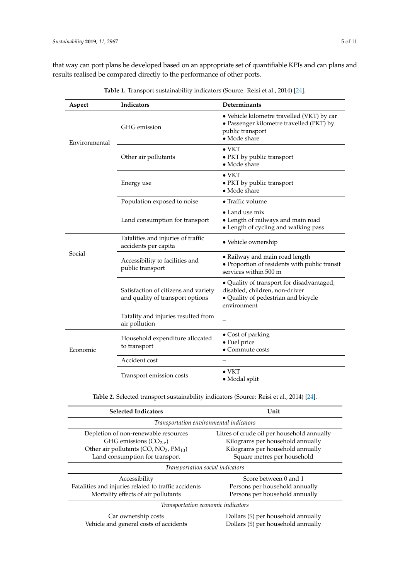<span id="page-4-0"></span>that way can port plans be developed based on an appropriate set of quantifiable KPIs and can plans and results realised be compared directly to the performance of other ports.

| Aspect        | Indicators                                                               | Determinants                                                                                                                      |  |
|---------------|--------------------------------------------------------------------------|-----------------------------------------------------------------------------------------------------------------------------------|--|
| Environmental | GHG emission                                                             | • Vehicle kilometre travelled (VKT) by car<br>• Passenger kilometre travelled (PKT) by<br>public transport<br>• Mode share        |  |
|               | Other air pollutants                                                     | $\bullet$ VKT<br>· PKT by public transport<br>• Mode share                                                                        |  |
|               | Energy use                                                               | $\bullet$ VKT<br>• PKT by public transport<br>$\bullet$ Mode share                                                                |  |
|               | Population exposed to noise                                              | $\bullet$ Traffic volume                                                                                                          |  |
|               | Land consumption for transport                                           | • Land use mix<br>• Length of railways and main road<br>• Length of cycling and walking pass                                      |  |
| Social        | Fatalities and injuries of traffic<br>accidents per capita               | • Vehicle ownership                                                                                                               |  |
|               | Accessibility to facilities and<br>public transport                      | • Railway and main road length<br>• Proportion of residents with public transit<br>services within 500 m                          |  |
|               | Satisfaction of citizens and variety<br>and quality of transport options | • Quality of transport for disadvantaged,<br>disabled, children, non-driver<br>• Quality of pedestrian and bicycle<br>environment |  |
|               | Fatality and injuries resulted from<br>air pollution                     |                                                                                                                                   |  |
| Economic      | Household expenditure allocated<br>to transport                          | • Cost of parking<br>• Fuel price<br>• Commute costs                                                                              |  |
|               | Accident cost                                                            |                                                                                                                                   |  |
|               | Transport emission costs                                                 | $\bullet$ VKT<br>$\bullet$ Modal split                                                                                            |  |

**Table 1.** Transport sustainability indicators (Source: Reisi et al., 2014) [\[24\]](#page-9-12).

**Table 2.** Selected transport sustainability indicators (Source: Reisi et al., 2014) [\[24\]](#page-9-12).

<span id="page-4-1"></span>

| <b>Selected Indicators</b>                                                                                                                         | Unit                                                                                                                                              |  |  |  |
|----------------------------------------------------------------------------------------------------------------------------------------------------|---------------------------------------------------------------------------------------------------------------------------------------------------|--|--|--|
| Transportation environmental indicators                                                                                                            |                                                                                                                                                   |  |  |  |
| Depletion of non-renewable resources<br>GHG emissions $(CO_{2-e})$<br>Other air pollutants (CO, $NO2$ , $PM10$ )<br>Land consumption for transport | Litres of crude oil per household annually<br>Kilograms per household annually<br>Kilograms per household annually<br>Square metres per household |  |  |  |
| Transportation social indicators                                                                                                                   |                                                                                                                                                   |  |  |  |
| Accessibility<br>Fatalities and injuries related to traffic accidents<br>Mortality effects of air pollutants                                       | Score between 0 and 1<br>Persons per household annually<br>Persons per household annually                                                         |  |  |  |
| Transportation economic indicators                                                                                                                 |                                                                                                                                                   |  |  |  |
| Car ownership costs<br>Vehicle and general costs of accidents                                                                                      | Dollars (\$) per household annually<br>Dollars (\$) per household annually                                                                        |  |  |  |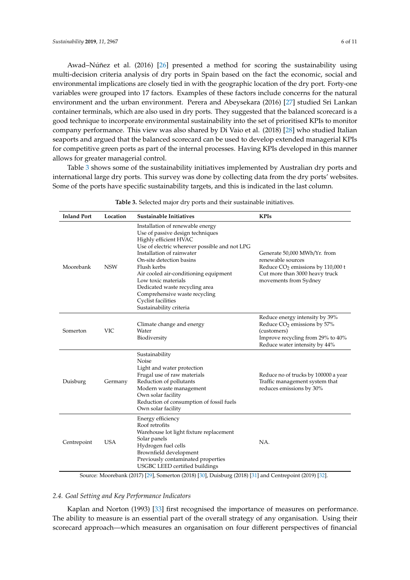Awad–Núñez et al. (2016) [\[26\]](#page-9-14) presented a method for scoring the sustainability using multi-decision criteria analysis of dry ports in Spain based on the fact the economic, social and environmental implications are closely tied in with the geographic location of the dry port. Forty-one variables were grouped into 17 factors. Examples of these factors include concerns for the natural environment and the urban environment. Perera and Abeysekara (2016) [\[27\]](#page-9-15) studied Sri Lankan container terminals, which are also used in dry ports. They suggested that the balanced scorecard is a good technique to incorporate environmental sustainability into the set of prioritised KPIs to monitor company performance. This view was also shared by Di Vaio et al. (2018) [\[28\]](#page-9-16) who studied Italian seaports and argued that the balanced scorecard can be used to develop extended managerial KPIs for competitive green ports as part of the internal processes. Having KPIs developed in this manner allows for greater managerial control.

Table [3](#page-5-0) shows some of the sustainability initiatives implemented by Australian dry ports and international large dry ports. This survey was done by collecting data from the dry ports' websites. Some of the ports have specific sustainability targets, and this is indicated in the last column.

<span id="page-5-0"></span>

| <b>Inland Port</b> | Location   | Sustainable Initiatives                                                                                                                                                                                                                                                                                                                                                                                           | <b>KPIs</b>                                                                                                                                                   |
|--------------------|------------|-------------------------------------------------------------------------------------------------------------------------------------------------------------------------------------------------------------------------------------------------------------------------------------------------------------------------------------------------------------------------------------------------------------------|---------------------------------------------------------------------------------------------------------------------------------------------------------------|
| Moorebank          | <b>NSW</b> | Installation of renewable energy<br>Use of passive design techniques<br>Highly efficient HVAC<br>Use of electric wherever possible and not LPG<br>Installation of rainwater<br>On-site detection basins<br>Flush kerbs<br>Air cooled air-conditioning equipment<br>Low toxic materials<br>Dedicated waste recycling area<br>Comprehensive waste recycling<br><b>Cyclist facilities</b><br>Sustainability criteria | Generate 50,000 MWh/Yr. from<br>renewable sources<br>Reduce CO <sub>2</sub> emissions by 110,000 t<br>Cut more than 3000 heavy truck<br>movements from Sydney |
| Somerton           | <b>VIC</b> | Climate change and energy<br>Water<br>Biodiversity                                                                                                                                                                                                                                                                                                                                                                | Reduce energy intensity by 39%<br>Reduce $CO2$ emissions by 57%<br>(customers)<br>Improve recycling from 29% to 40%<br>Reduce water intensity by 44%          |
| Duisburg           | Germany    | Sustainability<br>Noise<br>Light and water protection<br>Frugal use of raw materials<br>Reduction of pollutants<br>Modern waste management<br>Own solar facility<br>Reduction of consumption of fossil fuels<br>Own solar facility                                                                                                                                                                                | Reduce no of trucks by 100000 a year<br>Traffic management system that<br>reduces emissions by 30%                                                            |
| Centrepoint        | <b>USA</b> | Energy efficiency<br>Roof retrofits<br>Warehouse lot light fixture replacement<br>Solar panels<br>Hydrogen fuel cells<br>Brownfield development<br>Previously contaminated properties<br>USGBC LEED certified buildings                                                                                                                                                                                           | NA.                                                                                                                                                           |

**Table 3.** Selected major dry ports and their sustainable initiatives.

Source: Moorebank (2017) [\[29\]](#page-9-17), Somerton (2018) [\[30\]](#page-9-18), Duisburg (2018) [\[31\]](#page-9-19) and Centrepoint (2019) [\[32\]](#page-9-20).

## *2.4. Goal Setting and Key Performance Indicators*

Kaplan and Norton (1993) [\[33\]](#page-9-21) first recognised the importance of measures on performance. The ability to measure is an essential part of the overall strategy of any organisation. Using their scorecard approach—which measures an organisation on four different perspectives of financial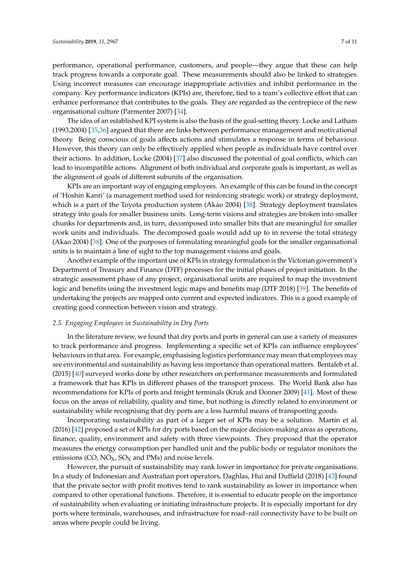performance, operational performance, customers, and people—they argue that these can help track progress towards a corporate goal. These measurements should also be linked to strategies. Using incorrect measures can encourage inappropriate activities and inhibit performance in the

company. Key performance indicators (KPIs) are, therefore, tied to a team's collective effort that can enhance performance that contributes to the goals. They are regarded as the centrepiece of the new organisational culture (Parmenter 2007) [\[34\]](#page-9-22).

The idea of an established KPI system is also the basis of the goal-setting theory. Locke and Latham (1993,2004) [\[35,](#page-9-23)[36\]](#page-9-24) argued that there are links between performance management and motivational theory. Being conscious of goals affects actions and stimulates a response in terms of behaviour. However, this theory can only be effectively applied when people as individuals have control over their actions. In addition, Locke (2004) [\[37\]](#page-9-25) also discussed the potential of goal conflicts, which can lead to incompatible actions. Alignment of both individual and corporate goals is important, as well as the alignment of goals of different subunits of the organisation.

KPIs are an important way of engaging employees. An example of this can be found in the concept of 'Hoshin Kanri' (a management method used for reinforcing strategic work) or strategy deployment, which is a part of the Toyota production system (Akao 2004) [\[38\]](#page-9-26). Strategy deployment translates strategy into goals for smaller business units. Long-term visions and strategies are broken into smaller chunks for departments and, in turn, decomposed into smaller bits that are meaningful for smaller work units and individuals. The decomposed goals would add up to in reverse the total strategy (Akao 2004) [\[38\]](#page-9-26). One of the purposes of formulating meaningful goals for the smaller organisational units is to maintain a line of sight to the top management visions and goals.

Another example of the important use of KPIs in strategy formulation is the Victorian government's Department of Treasury and Finance (DTF) processes for the initial phases of project initiation. In the strategic assessment phase of any project, organisational units are required to map the investment logic and benefits using the investment logic maps and benefits map (DTF 2018) [\[39\]](#page-9-27). The benefits of undertaking the projects are mapped onto current and expected indicators. This is a good example of creating good connection between vision and strategy.

#### *2.5. Engaging Employees in Sustainability in Dry Ports*

In the literature review, we found that dry ports and ports in general can use a variety of measures to track performance and progress. Implementing a specific set of KPIs can influence employees' behaviours in that area. For example, emphasising logistics performance may mean that employees may see environmental and sustainability as having less importance than operational matters. Bentaleb et al. (2015) [\[40\]](#page-10-0) surveyed works done by other researchers on performance measurements and formulated a framework that has KPIs in different phases of the transport process. The World Bank also has recommendations for KPIs of ports and freight terminals (Kruk and Donner 2009) [\[41\]](#page-10-1). Most of these focus on the areas of reliability, quality and time, but nothing is directly related to environment or sustainability while recognising that dry ports are a less harmful means of transporting goods.

Incorporating sustainability as part of a larger set of KPIs may be a solution. Martín et al. (2016) [\[42\]](#page-10-2) proposed a set of KPIs for dry ports based on the major decision-making areas as operations, finance, quality, environment and safety with three viewpoints. They proposed that the operator measures the energy consumption per handled unit and the public body or regulator monitors the emissions (CO,  $NO<sub>X</sub>$ ,  $SO<sub>X</sub>$  and PMs) and noise levels.

However, the pursuit of sustainability may rank lower in importance for private organisations. In a study of Indonesian and Australian port operators, Daghlas, Hui and Duffield (2018) [\[43\]](#page-10-3) found that the private sector with profit motives tend to rank sustainability as lower in importance when compared to other operational functions. Therefore, it is essential to educate people on the importance of sustainability when evaluating or initiating infrastructure projects. It is especially important for dry ports where terminals, warehouses, and infrastructure for road–rail connectivity have to be built on areas where people could be living.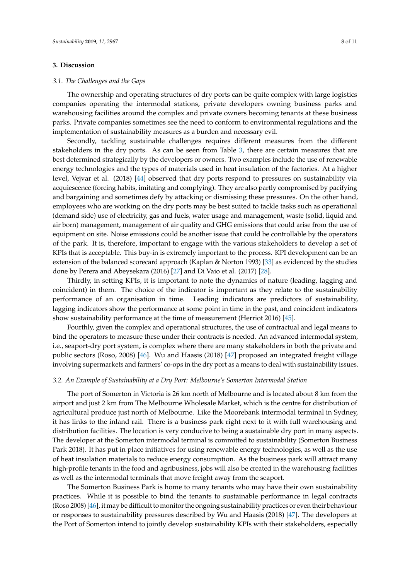## **3. Discussion**

### *3.1. The Challenges and the Gaps*

The ownership and operating structures of dry ports can be quite complex with large logistics companies operating the intermodal stations, private developers owning business parks and warehousing facilities around the complex and private owners becoming tenants at these business parks. Private companies sometimes see the need to conform to environmental regulations and the implementation of sustainability measures as a burden and necessary evil.

Secondly, tackling sustainable challenges requires different measures from the different stakeholders in the dry ports. As can be seen from Table [3,](#page-5-0) there are certain measures that are best determined strategically by the developers or owners. Two examples include the use of renewable energy technologies and the types of materials used in heat insulation of the factories. At a higher level, Vejvar et al. (2018) [\[44\]](#page-10-4) observed that dry ports respond to pressures on sustainability via acquiescence (forcing habits, imitating and complying). They are also partly compromised by pacifying and bargaining and sometimes defy by attacking or dismissing these pressures. On the other hand, employees who are working on the dry ports may be best suited to tackle tasks such as operational (demand side) use of electricity, gas and fuels, water usage and management, waste (solid, liquid and air born) management, management of air quality and GHG emissions that could arise from the use of equipment on site. Noise emissions could be another issue that could be controllable by the operators of the park. It is, therefore, important to engage with the various stakeholders to develop a set of KPIs that is acceptable. This buy-in is extremely important to the process. KPI development can be an extension of the balanced scorecard approach (Kaplan & Norton 1993) [\[33\]](#page-9-21) as evidenced by the studies done by Perera and Abeysekara (2016) [\[27\]](#page-9-15) and Di Vaio et al. (2017) [\[28\]](#page-9-16).

Thirdly, in setting KPIs, it is important to note the dynamics of nature (leading, lagging and coincident) in them. The choice of the indicator is important as they relate to the sustainability performance of an organisation in time. Leading indicators are predictors of sustainability, lagging indicators show the performance at some point in time in the past, and coincident indicators show sustainability performance at the time of measurement (Herriot 2016) [\[45\]](#page-10-5).

Fourthly, given the complex and operational structures, the use of contractual and legal means to bind the operators to measure these under their contracts is needed. An advanced intermodal system, i.e., seaport-dry port system, is complex where there are many stakeholders in both the private and public sectors (Roso, 2008) [\[46\]](#page-10-6). Wu and Haasis (2018) [\[47\]](#page-10-7) proposed an integrated freight village involving supermarkets and farmers' co-ops in the dry port as a means to deal with sustainability issues.

### *3.2. An Example of Sustainability at a Dry Port: Melbourne's Somerton Intermodal Station*

The port of Somerton in Victoria is 26 km north of Melbourne and is located about 8 km from the airport and just 2 km from The Melbourne Wholesale Market, which is the centre for distribution of agricultural produce just north of Melbourne. Like the Moorebank intermodal terminal in Sydney, it has links to the inland rail. There is a business park right next to it with full warehousing and distribution facilities. The location is very conducive to being a sustainable dry port in many aspects. The developer at the Somerton intermodal terminal is committed to sustainability (Somerton Business Park 2018). It has put in place initiatives for using renewable energy technologies, as well as the use of heat insulation materials to reduce energy consumption. As the business park will attract many high-profile tenants in the food and agribusiness, jobs will also be created in the warehousing facilities as well as the intermodal terminals that move freight away from the seaport.

The Somerton Business Park is home to many tenants who may have their own sustainability practices. While it is possible to bind the tenants to sustainable performance in legal contracts (Roso 2008) [\[46\]](#page-10-6), it may be difficult to monitor the ongoing sustainability practices or even their behaviour or responses to sustainability pressures described by Wu and Haasis (2018) [\[47\]](#page-10-7). The developers at the Port of Somerton intend to jointly develop sustainability KPIs with their stakeholders, especially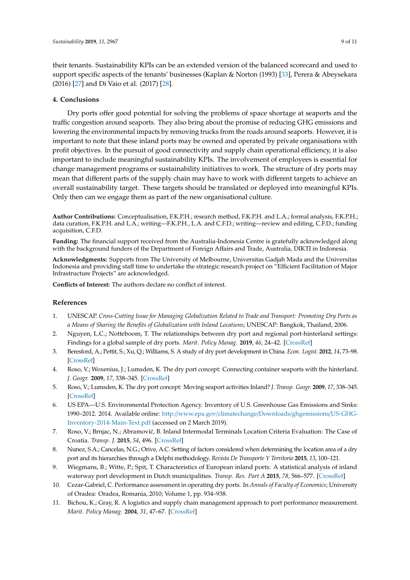their tenants. Sustainability KPIs can be an extended version of the balanced scorecard and used to support specific aspects of the tenants' businesses (Kaplan & Norton (1993) [\[33\]](#page-9-21), Perera & Abeysekara (2016) [\[27\]](#page-9-15) and Di Vaio et al. (2017) [\[28\]](#page-9-16).

## **4. Conclusions**

Dry ports offer good potential for solving the problems of space shortage at seaports and the traffic congestion around seaports. They also bring about the promise of reducing GHG emissions and lowering the environmental impacts by removing trucks from the roads around seaports. However, it is important to note that these inland ports may be owned and operated by private organisations with profit objectives. In the pursuit of good connectivity and supply chain operational efficiency, it is also important to include meaningful sustainability KPIs. The involvement of employees is essential for change management programs or sustainability initiatives to work. The structure of dry ports may mean that different parts of the supply chain may have to work with different targets to achieve an overall sustainability target. These targets should be translated or deployed into meaningful KPIs. Only then can we engage them as part of the new organisational culture.

**Author Contributions:** Conceptualisation, F.K.P.H.; research method, F.K.P.H. and L.A.; formal analysis, F.K.P.H.; data curation, F.K.P.H. and L.A.; writing—F.K.P.H., L.A. and C.F.D.; writing—review and editing, C.F.D.; funding acquisition, C.F.D.

**Funding:** The financial support received from the Australia-Indonesia Centre is gratefully acknowledged along with the background funders of the Department of Foreign Affairs and Trade, Australia, DIKTI in Indonesia.

**Acknowledgments:** Supports from The University of Melbourne, Universitas Gadjah Mada and the Universitas Indonesia and providing staff time to undertake the strategic research project on "Efficient Facilitation of Major Infrastructure Projects" are acknowledged.

**Conflicts of Interest:** The authors declare no conflict of interest.

## **References**

- <span id="page-8-0"></span>1. UNESCAP. *Cross-Cutting Issue for Managing Globalization Related to Trade and Transport: Promoting Dry Ports as a Means of Sharing the Benefits of Globalization with Inland Locations*; UNESCAP: Bangkok, Thailand, 2006.
- <span id="page-8-1"></span>2. Nguyen, L.C.; Notteboom, T. The relationships between dry port and regional port-hinterland settings: Findings for a global sample of dry ports. *Marit. Policy Manag.* **2019**, *46*, 24–42. [\[CrossRef\]](http://dx.doi.org/10.1080/03088839.2018.1448478)
- <span id="page-8-2"></span>3. Beresford, A.; Pettit, S.; Xu, Q.; Williams, S. A study of dry port development in China. *Econ. Logist.* **2012**, *14*, 73–98. [\[CrossRef\]](http://dx.doi.org/10.1057/mel.2011.17)
- <span id="page-8-3"></span>4. Roso, V.; Woxenius, J.; Lumsden, K. The dry port concept: Connecting container seaports with the hinterland. *J. Geogr.* **2009**, *17*, 338–345. [\[CrossRef\]](http://dx.doi.org/10.1016/j.jtrangeo.2008.10.008)
- <span id="page-8-4"></span>5. Roso, V.; Lumsden, K. The dry port concept: Moving seaport activities Inland? *J. Transp. Geogr.* **2009**, *17*, 338–345. [\[CrossRef\]](http://dx.doi.org/10.1016/j.jtrangeo.2008.10.008)
- <span id="page-8-5"></span>6. US EPA—U.S. Environmental Protection Agency. Inventory of U.S. Greenhouse Gas Emissions and Sinks: 1990–2012. 2014. Available online: http://www.epa.gov/[climatechange](http://www.epa.gov/climatechange/Downloads/ghgemissions/US-GHG-Inventory-2014-Main-Text.pdf)/Downloads/ghgemissions/US-GHG-[Inventory-2014-Main-Text.pdf](http://www.epa.gov/climatechange/Downloads/ghgemissions/US-GHG-Inventory-2014-Main-Text.pdf) (accessed on 2 March 2019).
- <span id="page-8-6"></span>7. Roso, V.; Brnjac, N.; Abramović, B. Inland Intermodal Terminals Location Criteria Evaluation: The Case of Croatia. *Transp. J.* **2015**, *54*, 496. [\[CrossRef\]](http://dx.doi.org/10.5325/transportationj.54.4.0496)
- <span id="page-8-7"></span>8. Nunez, S.A.; Cancelas, N.G.; Orive, A.C. Setting of factors considered when determining the location area of a dry port and its hierarchies through a Delphi methodology. *Revista De Transporte Y Territorio* **2015**, *13*, 100–121.
- <span id="page-8-8"></span>9. Wiegmans, B.; Witte, P.; Spit, T. Characteristics of European inland ports: A statistical analysis of inland waterway port development in Dutch municipalities. *Transp. Res. Part A* **2015**, *78*, 566–577. [\[CrossRef\]](http://dx.doi.org/10.1016/j.tra.2015.07.004)
- <span id="page-8-9"></span>10. Cezar-Gabriel, C. Performance assessment in operating dry ports. In *Annals of Faculty of Economics*; University of Oradea: Oradea, Romania, 2010; Volume 1, pp. 934–938.
- <span id="page-8-10"></span>11. Bichou, K.; Gray, R. A logistics and supply chain management approach to port performance measurement. *Marit. Policy Manag.* **2004**, *31*, 47–67. [\[CrossRef\]](http://dx.doi.org/10.1080/0308883032000174454)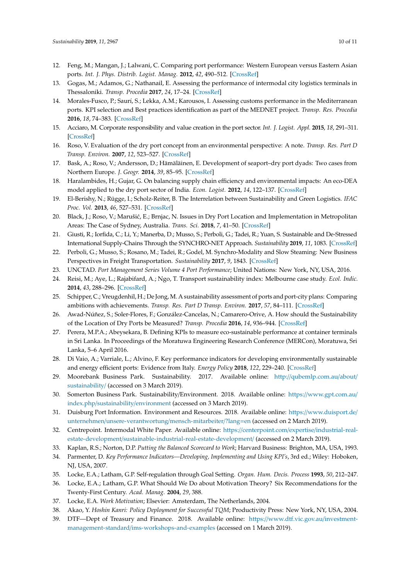- <span id="page-9-0"></span>12. Feng, M.; Mangan, J.; Lalwani, C. Comparing port performance: Western European versus Eastern Asian ports. *Int. J. Phys. Distrib. Logist. Manag.* **2012**, *42*, 490–512. [\[CrossRef\]](http://dx.doi.org/10.1108/09600031211246537)
- <span id="page-9-1"></span>13. Gogas, M.; Adamos, G.; Nathanail, E. Assessing the performance of intermodal city logistics terminals in Thessaloniki. *Transp. Procedia* **2017**, *24*, 17–24. [\[CrossRef\]](http://dx.doi.org/10.1016/j.trpro.2017.05.061)
- <span id="page-9-2"></span>14. Morales-Fusco, P.; Saurí, S.; Lekka, A.M.; Karousos, I. Assessing customs performance in the Mediterranean ports. KPI selection and Best practices identification as part of the MEDNET project. *Transp. Res. Procedia* **2016**, *18*, 74–383. [\[CrossRef\]](http://dx.doi.org/10.1016/j.trpro.2016.12.049)
- <span id="page-9-3"></span>15. Acciaro, M. Corporate responsibility and value creation in the port sector. *Int. J. Logist. Appl.* **2015**, *18*, 291–311. [\[CrossRef\]](http://dx.doi.org/10.1080/13675567.2015.1027150)
- <span id="page-9-4"></span>16. Roso, V. Evaluation of the dry port concept from an environmental perspective: A note. *Transp. Res. Part D Transp. Environ.* **2007**, *12*, 523–527. [\[CrossRef\]](http://dx.doi.org/10.1016/j.trd.2007.07.001)
- <span id="page-9-5"></span>17. Bask, A.; Roso, V.; Andersson, D.; Hämäläinen, E. Development of seaport–dry port dyads: Two cases from Northern Europe. *J. Geogr.* **2014**, *39*, 85–95. [\[CrossRef\]](http://dx.doi.org/10.1016/j.jtrangeo.2014.06.014)
- <span id="page-9-6"></span>18. Haralambides, H.; Gujar, G. On balancing supply chain efficiency and environmental impacts: An eco-DEA model applied to the dry port sector of India. *Econ. Logist.* **2012**, *14*, 122–137. [\[CrossRef\]](http://dx.doi.org/10.1057/mel.2011.19)
- <span id="page-9-7"></span>19. El-Berishy, N.; Rügge, I.; Scholz-Reiter, B. The Interrelation between Sustainability and Green Logistics. *IFAC Proc. Vol.* **2013**, *46*, 527–531. [\[CrossRef\]](http://dx.doi.org/10.3182/20130911-3-BR-3021.00067)
- <span id="page-9-8"></span>20. Black, J.; Roso, V.; Marušić, E.; Brnjac, N. Issues in Dry Port Location and Implementation in Metropolitan Areas: The Case of Sydney, Australia. *Trans. Sci.* **2018**, *7*, 41–50. [\[CrossRef\]](http://dx.doi.org/10.7225/toms.v07.n01.004)
- <span id="page-9-9"></span>21. Giusti, R.; Iorfida, C.; Li, Y.; Manerba, D.; Musso, S.; Perboli, G.; Tadei, R.; Yuan, S. Sustainable and De-Stressed International Supply-Chains Through the SYNCHRO-NET Approach. *Sustainability* **2019**, *11*, 1083. [\[CrossRef\]](http://dx.doi.org/10.3390/su11041083)
- <span id="page-9-10"></span>22. Perboli, G.; Musso, S.; Rosano, M.; Tadei, R.; Godel, M. Synchro-Modality and Slow Steaming: New Business Perspectives in Freight Transportation. *Sustainability* **2017**, *9*, 1843. [\[CrossRef\]](http://dx.doi.org/10.3390/su9101843)
- <span id="page-9-11"></span>23. UNCTAD. *Port Management Series Volume 4 Port Performance*; United Nations: New York, NY, USA, 2016.
- <span id="page-9-12"></span>24. Reisi, M.; Aye, L.; Rajabifard, A.; Ngo, T. Transport sustainability index: Melbourne case study. *Ecol. Indic.* **2014**, *43*, 288–296. [\[CrossRef\]](http://dx.doi.org/10.1016/j.ecolind.2014.03.004)
- <span id="page-9-13"></span>25. Schipper, C.; Vreugdenhil, H.; De Jong, M. A sustainability assessment of ports and port-city plans: Comparing ambitions with achievements. *Transp. Res. Part D Transp. Environ.* **2017**, *57*, 84–111. [\[CrossRef\]](http://dx.doi.org/10.1016/j.trd.2017.08.017)
- <span id="page-9-14"></span>26. Awad-Núñez, S.; Soler-Flores, F.; González-Cancelas, N.; Camarero-Orive, A. How should the Sustainability of the Location of Dry Ports be Measured? *Transp. Procedia* **2016**, *14*, 936–944. [\[CrossRef\]](http://dx.doi.org/10.1016/j.trpro.2016.05.073)
- <span id="page-9-15"></span>27. Perera, M.P.A.; Abeysekara, B. Defining KPIs to measure eco-sustainable performance at container terminals in Sri Lanka. In Proceedings of the Moratuwa Engineering Research Conference (MERCon), Moratuwa, Sri Lanka, 5–6 April 2016.
- <span id="page-9-16"></span>28. Di Vaio, A.; Varriale, L.; Alvino, F. Key performance indicators for developing environmentally sustainable and energy efficient ports: Evidence from Italy. *Energy Policy* **2018**, *122*, 229–240. [\[CrossRef\]](http://dx.doi.org/10.1016/j.enpol.2018.07.046)
- <span id="page-9-17"></span>29. Moorebank Business Park. Sustainability. 2017. Available online: http://[qubemlp.com.au](http://qubemlp.com.au/about/sustainability/)/about/ [sustainability](http://qubemlp.com.au/about/sustainability/)/ (accessed on 3 March 2019).
- <span id="page-9-18"></span>30. Somerton Business Park. Sustainability/Environment. 2018. Available online: https://[www.gpt.com.au](https://www.gpt.com.au/index.php/sustainability/environment)/ index.php/[sustainability](https://www.gpt.com.au/index.php/sustainability/environment)/environment (accessed on 3 March 2019).
- <span id="page-9-19"></span>31. Duisburg Port Information. Environment and Resources. 2018. Available online: https://[www.duisport.de](https://www.duisport.de/unternehmen/unsere-verantwortung/mensch-mitarbeiter/?lang=en)/ unternehmen/[unsere-verantwortung](https://www.duisport.de/unternehmen/unsere-verantwortung/mensch-mitarbeiter/?lang=en)/mensch-mitarbeiter/?lang=en (accessed on 2 March 2019).
- <span id="page-9-20"></span>32. Centrepoint. Intermodal White Paper. Available online: https://[centerpoint.com](https://centerpoint.com/expertise/industrial-real-estate-development/sustainable-industrial-real-estate-development/)/expertise/industrial-realestate-development/[sustainable-industrial-real-estate-development](https://centerpoint.com/expertise/industrial-real-estate-development/sustainable-industrial-real-estate-development/)/ (accessed on 2 March 2019).
- <span id="page-9-21"></span>33. Kaplan, R.S.; Norton, D.P. *Putting the Balanced Scorecard to Work*; Harvard Business: Brighton, MA, USA, 1993.
- <span id="page-9-22"></span>34. Parmenter, D. *Key Performance Indicators—Developing, Implementing and Using KPI's*, 3rd ed.; Wiley: Hoboken, NJ, USA, 2007.
- <span id="page-9-23"></span>35. Locke, E.A.; Latham, G.P. Self-regulation through Goal Setting. *Organ. Hum. Decis. Process* **1993**, *50*, 212–247.
- <span id="page-9-24"></span>36. Locke, E.A.; Latham, G.P. What Should We Do about Motivation Theory? Six Recommendations for the Twenty-First Century. *Acad. Manag.* **2004**, *29*, 388.
- <span id="page-9-25"></span>37. Locke, E.A. *Work Motivation*; Elsevier: Amsterdam, The Netherlands, 2004.
- <span id="page-9-26"></span>38. Akao, Y. *Hoshin Kanri: Policy Deployment for Successful TQM*; Productivity Press: New York, NY, USA, 2004.
- <span id="page-9-27"></span>39. DTF—Dept of Treasury and Finance. 2018. Available online: https://[www.dtf.vic.gov.au](https://www.dtf.vic.gov.au/investment-management-standard/ims-workshops-and-examples)/investmentmanagement-standard/[ims-workshops-and-examples](https://www.dtf.vic.gov.au/investment-management-standard/ims-workshops-and-examples) (accessed on 1 March 2019).